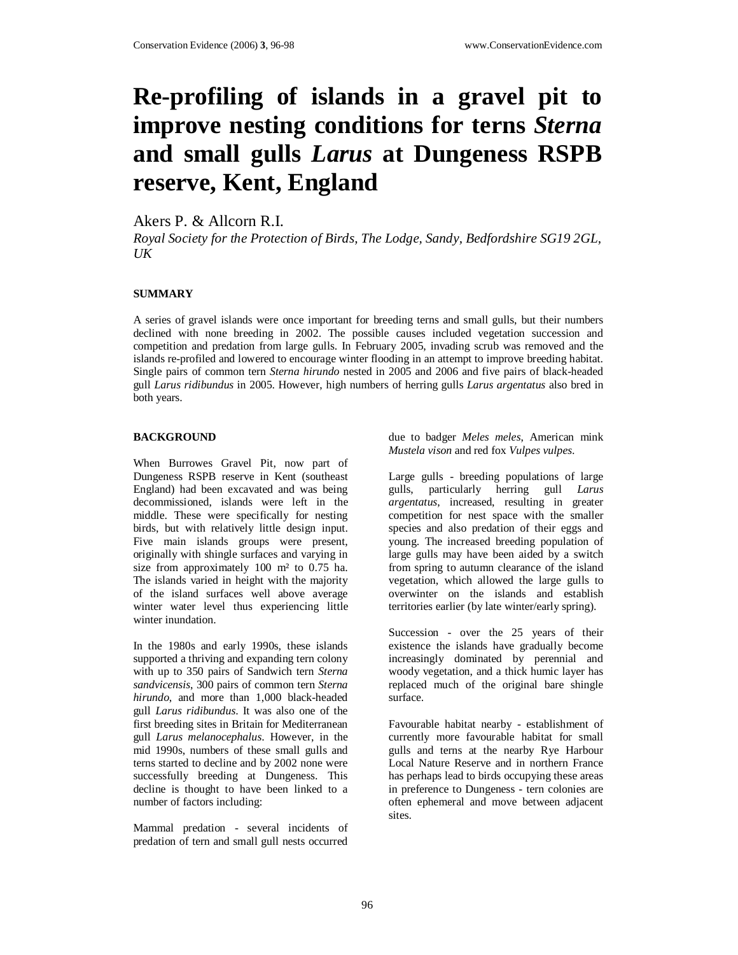# **Re-profiling of islands in a gravel pit to improve nesting conditions for terns** *Sterna* **and small gulls** *Larus* **at Dungeness RSPB reserve, Kent, England**

Akers P. & Allcorn R.I.

*Royal Society for the Protection of Birds, The Lodge, Sandy, Bedfordshire SG19 2GL, UK* 

#### **SUMMARY**

A series of gravel islands were once important for breeding terns and small gulls, but their numbers declined with none breeding in 2002. The possible causes included vegetation succession and competition and predation from large gulls. In February 2005, invading scrub was removed and the islands re-profiled and lowered to encourage winter flooding in an attempt to improve breeding habitat. Single pairs of common tern *Sterna hirundo* nested in 2005 and 2006 and five pairs of black-headed gull *Larus ridibundus* in 2005. However, high numbers of herring gulls *Larus argentatus* also bred in both years.

### **BACKGROUND**

When Burrowes Gravel Pit, now part of Dungeness RSPB reserve in Kent (southeast England) had been excavated and was being decommissioned, islands were left in the middle. These were specifically for nesting birds, but with relatively little design input. Five main islands groups were present, originally with shingle surfaces and varying in size from approximately 100 m² to 0.75 ha. The islands varied in height with the majority of the island surfaces well above average winter water level thus experiencing little winter inundation.

In the 1980s and early 1990s, these islands supported a thriving and expanding tern colony with up to 350 pairs of Sandwich tern *Sterna sandvicensis*, 300 pairs of common tern *Sterna hirundo*, and more than 1,000 black-headed gull *Larus ridibundus*. It was also one of the first breeding sites in Britain for Mediterranean gull *Larus melanocephalus*. However, in the mid 1990s, numbers of these small gulls and terns started to decline and by 2002 none were successfully breeding at Dungeness. This decline is thought to have been linked to a number of factors including:

Mammal predation - several incidents of predation of tern and small gull nests occurred

due to badger *Meles meles*, American mink *Mustela vison* and red fox *Vulpes vulpes*.

Large gulls - breeding populations of large gulls, particularly herring gull *Larus argentatus*, increased, resulting in greater competition for nest space with the smaller species and also predation of their eggs and young. The increased breeding population of large gulls may have been aided by a switch from spring to autumn clearance of the island vegetation, which allowed the large gulls to overwinter on the islands and establish territories earlier (by late winter/early spring).

Succession - over the 25 years of their existence the islands have gradually become increasingly dominated by perennial and woody vegetation, and a thick humic layer has replaced much of the original bare shingle surface.

Favourable habitat nearby - establishment of currently more favourable habitat for small gulls and terns at the nearby Rye Harbour Local Nature Reserve and in northern France has perhaps lead to birds occupying these areas in preference to Dungeness - tern colonies are often ephemeral and move between adjacent sites.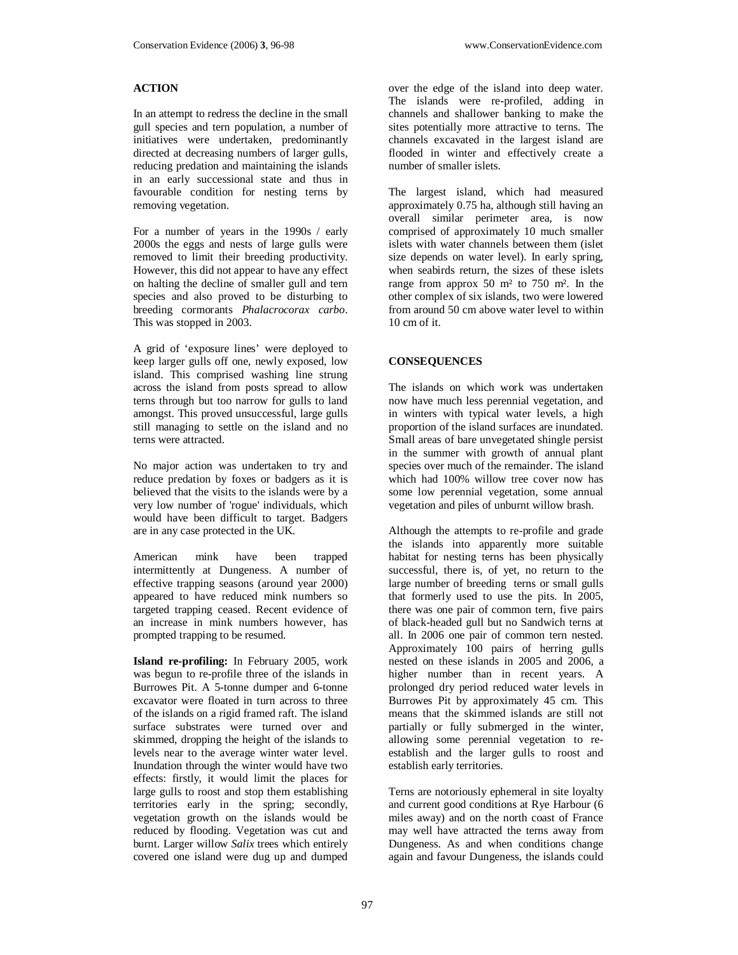## **ACTION**

In an attempt to redress the decline in the small gull species and tern population, a number of initiatives were undertaken, predominantly directed at decreasing numbers of larger gulls, reducing predation and maintaining the islands in an early successional state and thus in favourable condition for nesting terns by removing vegetation.

For a number of years in the 1990s / early 2000s the eggs and nests of large gulls were removed to limit their breeding productivity. However, this did not appear to have any effect on halting the decline of smaller gull and tern species and also proved to be disturbing to breeding cormorants *Phalacrocorax carbo*. This was stopped in 2003.

A grid of 'exposure lines' were deployed to keep larger gulls off one, newly exposed, low island. This comprised washing line strung across the island from posts spread to allow terns through but too narrow for gulls to land amongst. This proved unsuccessful, large gulls still managing to settle on the island and no terns were attracted.

No major action was undertaken to try and reduce predation by foxes or badgers as it is believed that the visits to the islands were by a very low number of 'rogue' individuals, which would have been difficult to target. Badgers are in any case protected in the UK.

American mink have been trapped intermittently at Dungeness. A number of effective trapping seasons (around year 2000) appeared to have reduced mink numbers so targeted trapping ceased. Recent evidence of an increase in mink numbers however, has prompted trapping to be resumed.

**Island re-profiling:** In February 2005, work was begun to re-profile three of the islands in Burrowes Pit. A 5-tonne dumper and 6-tonne excavator were floated in turn across to three of the islands on a rigid framed raft. The island surface substrates were turned over and skimmed, dropping the height of the islands to levels near to the average winter water level. Inundation through the winter would have two effects: firstly, it would limit the places for large gulls to roost and stop them establishing territories early in the spring; secondly, vegetation growth on the islands would be reduced by flooding. Vegetation was cut and burnt. Larger willow *Salix* trees which entirely covered one island were dug up and dumped

over the edge of the island into deep water. The islands were re-profiled, adding in channels and shallower banking to make the sites potentially more attractive to terns. The channels excavated in the largest island are flooded in winter and effectively create a number of smaller islets.

The largest island, which had measured approximately 0.75 ha, although still having an overall similar perimeter area, is now comprised of approximately 10 much smaller islets with water channels between them (islet size depends on water level). In early spring, when seabirds return, the sizes of these islets range from approx 50 m² to 750 m². In the other complex of six islands, two were lowered from around 50 cm above water level to within 10 cm of it.

### **CONSEQUENCES**

The islands on which work was undertaken now have much less perennial vegetation, and in winters with typical water levels, a high proportion of the island surfaces are inundated. Small areas of bare unvegetated shingle persist in the summer with growth of annual plant species over much of the remainder. The island which had 100% willow tree cover now has some low perennial vegetation, some annual vegetation and piles of unburnt willow brash.

Although the attempts to re-profile and grade the islands into apparently more suitable habitat for nesting terns has been physically successful, there is, of yet, no return to the large number of breeding terns or small gulls that formerly used to use the pits. In 2005, there was one pair of common tern, five pairs of black-headed gull but no Sandwich terns at all. In 2006 one pair of common tern nested. Approximately 100 pairs of herring gulls nested on these islands in 2005 and 2006, a higher number than in recent years. A prolonged dry period reduced water levels in Burrowes Pit by approximately 45 cm. This means that the skimmed islands are still not partially or fully submerged in the winter, allowing some perennial vegetation to reestablish and the larger gulls to roost and establish early territories.

Terns are notoriously ephemeral in site loyalty and current good conditions at Rye Harbour (6 miles away) and on the north coast of France may well have attracted the terns away from Dungeness. As and when conditions change again and favour Dungeness, the islands could